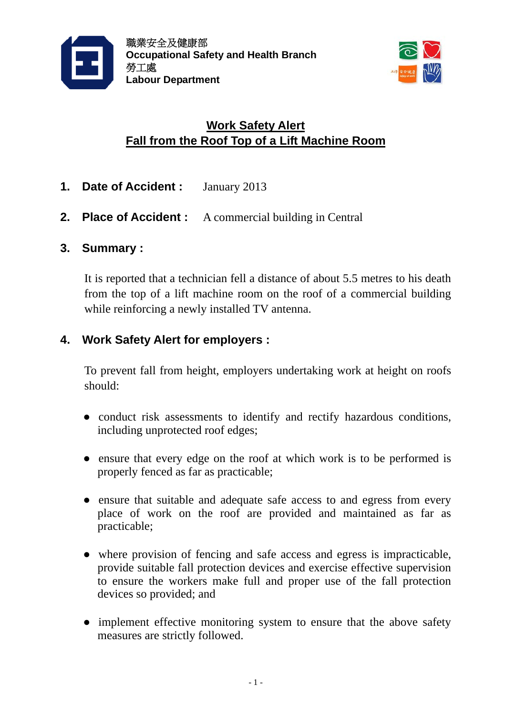



# **Work Safety Alert Fall from the Roof Top of a Lift Machine Room**

- **1. Date of Accident :** January 2013
- **2. Place of Accident :** A commercial building in Central

## **3. Summary :**

It is reported that a technician fell a distance of about 5.5 metres to his death from the top of a lift machine room on the roof of a commercial building while reinforcing a newly installed TV antenna.

# **4. Work Safety Alert for employers :**

To prevent fall from height, employers undertaking work at height on roofs should:

- conduct risk assessments to identify and rectify hazardous conditions, including unprotected roof edges;
- ensure that every edge on the roof at which work is to be performed is properly fenced as far as practicable;
- ensure that suitable and adequate safe access to and egress from every place of work on the roof are provided and maintained as far as practicable;
- where provision of fencing and safe access and egress is impracticable, provide suitable fall protection devices and exercise effective supervision to ensure the workers make full and proper use of the fall protection devices so provided; and
- implement effective monitoring system to ensure that the above safety measures are strictly followed.